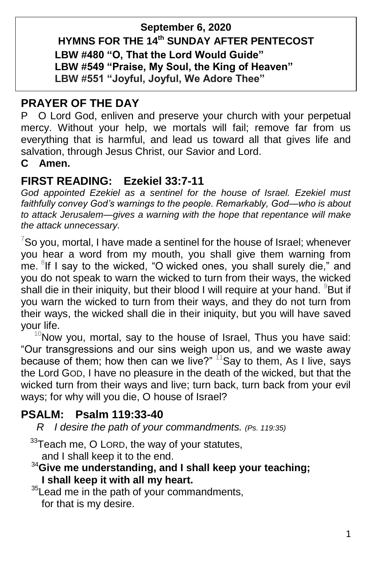### **September 6, 2020 HYMNS FOR THE 14 th SUNDAY AFTER PENTECOST LBW #480 "O, That the Lord Would Guide" LBW #549 "Praise, My Soul, the King of Heaven" LBW #551 "Joyful, Joyful, We Adore Thee"**

### **PRAYER OF THE DAY**

PO Lord God, enliven and preserve your church with your perpetual mercy. Without your help, we mortals will fail; remove far from us everything that is harmful, and lead us toward all that gives life and salvation, through Jesus Christ, our Savior and Lord.

#### **C Amen.**

# **FIRST READING: Ezekiel 33:7-11**

*God appointed Ezekiel as a sentinel for the house of Israel. Ezekiel must faithfully convey God's warnings to the people. Remarkably, God—who is about to attack Jerusalem—gives a warning with the hope that repentance will make the attack unnecessary.*

 $7$ So you, mortal, I have made a sentinel for the house of Israel; whenever you hear a word from my mouth, you shall give them warning from me. <sup>8</sup>If I say to the wicked, "O wicked ones, you shall surely die," and you do not speak to warn the wicked to turn from their ways, the wicked shall die in their iniquity, but their blood I will require at your hand.  $98$ But if you warn the wicked to turn from their ways, and they do not turn from their ways, the wicked shall die in their iniquity, but you will have saved your life.

 $10$ Now you, mortal, say to the house of Israel, Thus you have said: "Our transgressions and our sins weigh upon us, and we waste away because of them; how then can we live?"  $11$ Say to them, As I live, says the Lord GOD, I have no pleasure in the death of the wicked, but that the wicked turn from their ways and live; turn back, turn back from your evil ways; for why will you die, O house of Israel?

### **PSALM: Psalm 119:33-40**

 *R I desire the path of your commandments. (Ps. 119:35)*

 $33$ Teach me, O LORD, the way of your statutes,

and I shall keep it to the end.

#### <sup>34</sup>**Give me understanding, and I shall keep your teaching; I shall keep it with all my heart.**

 $35$ Lead me in the path of your commandments, for that is my desire.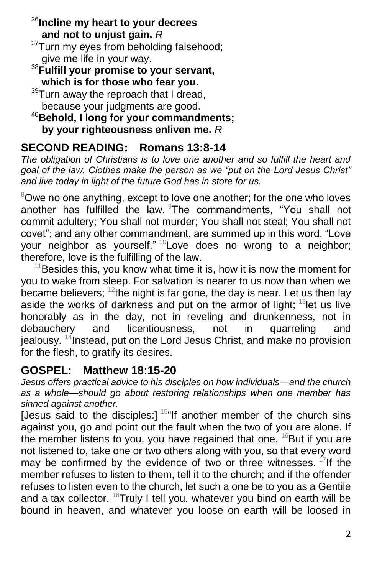<sup>36</sup>**Incline my heart to your decrees and not to unjust gain.** *R*

 $37$ Turn my eyes from beholding falsehood; give me life in your way.

<sup>38</sup>**Fulfill your promise to your servant, which is for those who fear you.**

<sup>39</sup>Turn away the reproach that I dread, because your judgments are good.

<sup>40</sup>**Behold, I long for your commandments; by your righteousness enliven me.** *R*

# **SECOND READING: Romans 13:8-14**

*The obligation of Christians is to love one another and so fulfill the heart and goal of the law. Clothes make the person as we "put on the Lord Jesus Christ" and live today in light of the future God has in store for us.*

 $8$ Owe no one anything, except to love one another; for the one who loves another has fulfilled the law. The commandments, "You shall not commit adultery; You shall not murder; You shall not steal; You shall not covet"; and any other commandment, are summed up in this word, "Love your neighbor as yourself."  $10$  Love does no wrong to a neighbor; therefore, love is the fulfilling of the law.

 $11$ Besides this, you know what time it is, how it is now the moment for you to wake from sleep. For salvation is nearer to us now than when we became believers;  $12$ the night is far gone, the day is near. Let us then lay aside the works of darkness and put on the armor of light; <sup>13</sup>let us live honorably as in the day, not in reveling and drunkenness, not in debauchery and licentiousness, not in quarreling and and licentiousness, not in quarreling and jealousy. <sup>14</sup>Instead, put on the Lord Jesus Christ, and make no provision for the flesh, to gratify its desires.

# **GOSPEL: Matthew 18:15-20**

*Jesus offers practical advice to his disciples on how individuals—and the church as a whole—should go about restoring relationships when one member has sinned against another.*

[Jesus said to the disciples:]  $15$ "If another member of the church sins against you, go and point out the fault when the two of you are alone. If the member listens to you, you have regained that one.  $16$ But if you are not listened to, take one or two others along with you, so that every word may be confirmed by the evidence of two or three witnesses.  $17$  If the member refuses to listen to them, tell it to the church; and if the offender refuses to listen even to the church, let such a one be to you as a Gentile and a tax collector.  $18$ Truly I tell you, whatever you bind on earth will be bound in heaven, and whatever you loose on earth will be loosed in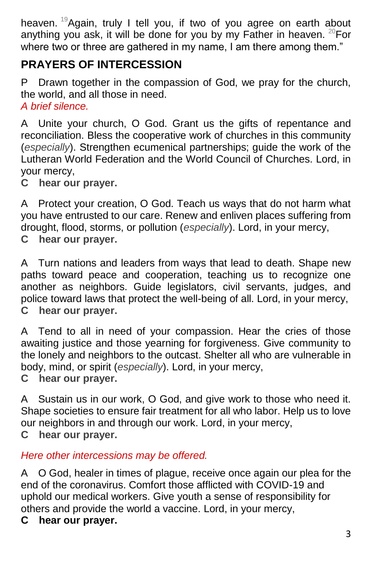heaven. <sup>19</sup> Again, truly I tell you, if two of you agree on earth about anything you ask, it will be done for you by my Father in heaven.  $^{20}$ For where two or three are gathered in my name, I am there among them."

# **PRAYERS OF INTERCESSION**

P Drawn together in the compassion of God, we pray for the church, the world, and all those in need. *A brief silence.*

A Unite your church, O God. Grant us the gifts of repentance and reconciliation. Bless the cooperative work of churches in this community (*especially*). Strengthen ecumenical partnerships; guide the work of the Lutheran World Federation and the World Council of Churches. Lord, in your mercy,

**C hear our prayer.**

A Protect your creation, O God. Teach us ways that do not harm what you have entrusted to our care. Renew and enliven places suffering from drought, flood, storms, or pollution (*especially*). Lord, in your mercy, **C hear our prayer.**

A Turn nations and leaders from ways that lead to death. Shape new paths toward peace and cooperation, teaching us to recognize one another as neighbors. Guide legislators, civil servants, judges, and police toward laws that protect the well-being of all. Lord, in your mercy, **C hear our prayer.**

A Tend to all in need of your compassion. Hear the cries of those awaiting justice and those yearning for forgiveness. Give community to the lonely and neighbors to the outcast. Shelter all who are vulnerable in body, mind, or spirit (*especially*). Lord, in your mercy, **C hear our prayer.**

A Sustain us in our work, O God, and give work to those who need it. Shape societies to ensure fair treatment for all who labor. Help us to love our neighbors in and through our work. Lord, in your mercy, **C hear our prayer.**

*Here other intercessions may be offered.*

A O God, healer in times of plague, receive once again our plea for the end of the coronavirus. Comfort those afflicted with COVID-19 and uphold our medical workers. Give youth a sense of responsibility for others and provide the world a vaccine. Lord, in your mercy,

**C hear our prayer.**